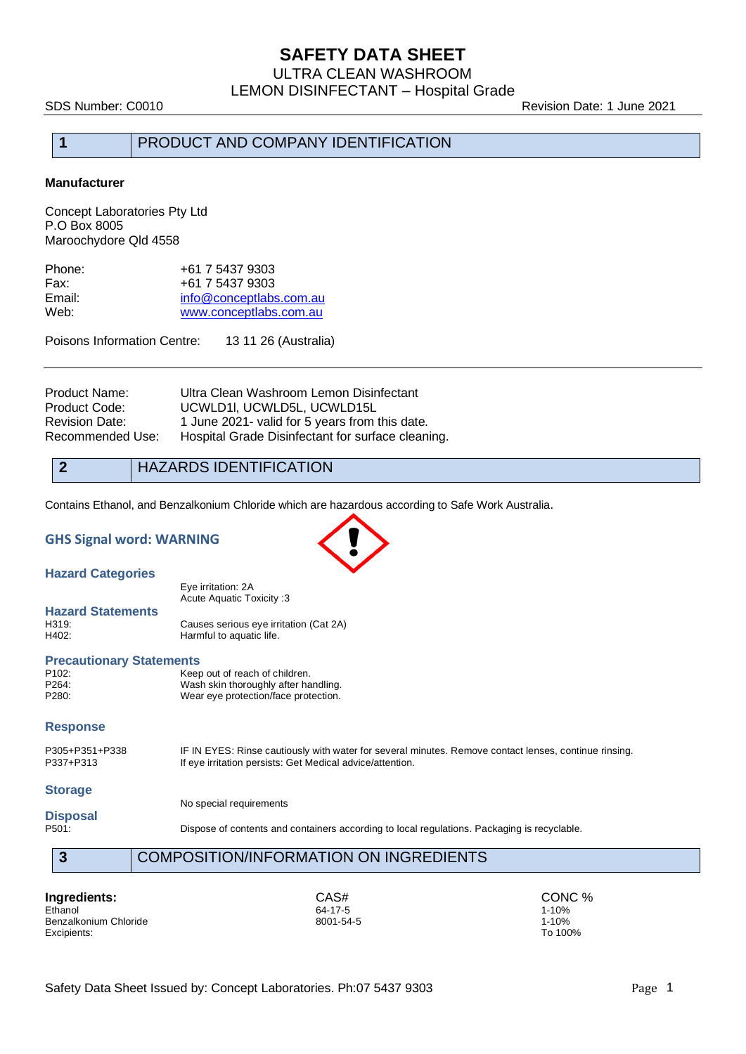## **SAFETY DATA SHEET**

ULTRA CLEAN WASHROOM LEMON DISINFECTANT – Hospital Grade

SDS Number: C0010 Revision Date: 1 June 2021

## **1** PRODUCT AND COMPANY IDENTIFICATION

#### **Manufacturer**

Concept Laboratories Pty Ltd P.O Box 8005 Maroochydore Qld 4558

| Phone: | +61 7 5437 9303         |
|--------|-------------------------|
| Fax:   | +61 7 5437 9303         |
| Email: | info@conceptlabs.com.au |
| Web:   | www.conceptlabs.com.au  |

Poisons Information Centre: 13 11 26 (Australia)

| Product Name:         | Ultra Clean Washroom Lemon Disinfectant           |
|-----------------------|---------------------------------------------------|
| Product Code:         | UCWLD1I, UCWLD5L, UCWLD15L                        |
| <b>Revision Date:</b> | 1 June 2021- valid for 5 years from this date.    |
| Recommended Use:      | Hospital Grade Disinfectant for surface cleaning. |

**2** HAZARDS IDENTIFICATION

Contains Ethanol, and Benzalkonium Chloride which are hazardous according to Safe Work Australia.

#### **GHS Signal word: WARNING**

**Hazard Categories**

Eye irritation: 2A Acute Aquatic Toxicity :3

**Hazard Statements** H319: Causes serious eye irritation (Cat 2A)<br>H402: Harmful to aquatic life. Harmful to aquatic life.

#### **Precautionary Statements**

| P <sub>102</sub> : | Keep out of reach of children.       |
|--------------------|--------------------------------------|
| P264:              | Wash skin thoroughly after handling. |
| P280:              | Wear eye protection/face protection. |

#### **Response**

P305+P351+P338 IF IN EYES: Rinse cautiously with water for several minutes. Remove contact lenses, continue rinsing.<br>P337+P313 If eve irritation persists: Get Medical advice/attention. If eye irritation persists: Get Medical advice/attention.

#### **Storage**

No special requirements

# **Disposal**

Dispose of contents and containers according to local regulations. Packaging is recyclable.

**3** COMPOSITION/INFORMATION ON INGREDIENTS

**Ingredients:** CAS# CONC % CASH CONC % CASH CONC % 21-10% Ethanol 64-17-5 1-10% Benzalkonium Chloride 1990 and the settlement of the settlement of the settlement of the settlement of the set of the set of the set of the set of the set of the set of the set of the set of the set of the set of the set o Excipients: To 100%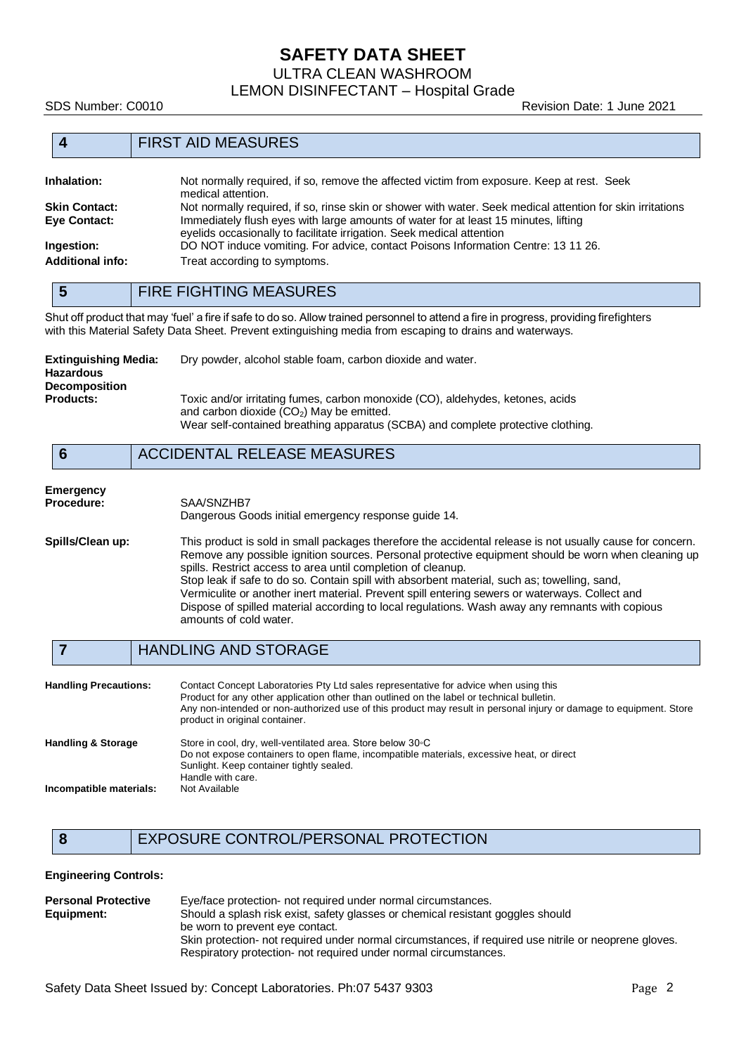## **SAFETY DATA SHEET**

ULTRA CLEAN WASHROOM

LEMON DISINFECTANT – Hospital Grade

SDS Number: C0010 Revision Date: 1 June 2021

| <b>FIRST AID MEASURES</b> |                      |                                                                                                                  |
|---------------------------|----------------------|------------------------------------------------------------------------------------------------------------------|
|                           | Inhalation:          | Not normally required, if so, remove the affected victim from exposure. Keep at rest. Seek<br>medical attention. |
|                           | <b>Skin Contact:</b> | Not normally required, if so, rinse skin or shower with water. Seek medical attention for skin irritations       |
|                           | <b>Eye Contact:</b>  | Immediately flush eyes with large amounts of water for at least 15 minutes, lifting                              |

eyelids occasionally to facilitate irrigation. Seek medical attention **Ingestion:** DO NOT induce vomiting. For advice, contact Poisons Information Centre: 13 11 26. Additional info: Treat according to symptoms.

**5** FIRE FIGHTING MEASURES

Shut off product that may 'fuel' a fire if safe to do so. Allow trained personnel to attend a fire in progress, providing firefighters with this Material Safety Data Sheet. Prevent extinguishing media from escaping to drains and waterways.

| Extinguishing Media:<br><b>Hazardous</b><br><b>Decomposition</b> | Dry powder, alcohol stable foam, carbon dioxide and water.                                                                                                                                                       |
|------------------------------------------------------------------|------------------------------------------------------------------------------------------------------------------------------------------------------------------------------------------------------------------|
| <b>Products:</b>                                                 | Toxic and/or irritating fumes, carbon monoxide (CO), aldehydes, ketones, acids<br>and carbon dioxide $(CO2)$ May be emitted.<br>Wear self-contained breathing apparatus (SCBA) and complete protective clothing. |

## **6** ACCIDENTAL RELEASE MEASURES

| Emergency        |                                                                                                           |
|------------------|-----------------------------------------------------------------------------------------------------------|
| Procedure:       | SAA/SNZHB7                                                                                                |
|                  | Dangerous Goods initial emergency response quide 14.                                                      |
| Spills/Clean up: | This product is sold in small packages therefore the accidental release is not usually cause for concern. |
|                  | Remove any possible ignition sources. Personal protective equipment should be worn when cleaning up       |
|                  | spills. Restrict access to area until completion of cleanup.                                              |
|                  | Stop leak if safe to do so. Contain spill with absorbent material, such as: towelling, sand.              |

erial, such as; towelling, sand, Vermiculite or another inert material. Prevent spill entering sewers or waterways. Collect and Dispose of spilled material according to local regulations. Wash away any remnants with copious amounts of cold water.

#### **7** HANDLING AND STORAGE

| <b>Handling Precautions:</b>  | Contact Concept Laboratories Pty Ltd sales representative for advice when using this<br>Product for any other application other than outlined on the label or technical bulletin.<br>Any non-intended or non-authorized use of this product may result in personal injury or damage to equipment. Store<br>product in original container. |
|-------------------------------|-------------------------------------------------------------------------------------------------------------------------------------------------------------------------------------------------------------------------------------------------------------------------------------------------------------------------------------------|
| <b>Handling &amp; Storage</b> | Store in cool, dry, well-ventilated area. Store below 30 °C<br>Do not expose containers to open flame, incompatible materials, excessive heat, or direct<br>Sunlight. Keep container tightly sealed.<br>Handle with care.                                                                                                                 |
| Incompatible materials:       | Not Available                                                                                                                                                                                                                                                                                                                             |

## **8** EXPOSURE CONTROL/PERSONAL PROTECTION

#### **Engineering Controls:**

| <b>Personal Protective</b> | Eye/face protection- not required under normal circumstances.                                         |
|----------------------------|-------------------------------------------------------------------------------------------------------|
| Equipment:                 | Should a splash risk exist, safety glasses or chemical resistant goggles should                       |
|                            | be worn to prevent eye contact.                                                                       |
|                            | Skin protection- not required under normal circumstances, if required use nitrile or neoprene gloves. |
|                            | Respiratory protection- not required under normal circumstances.                                      |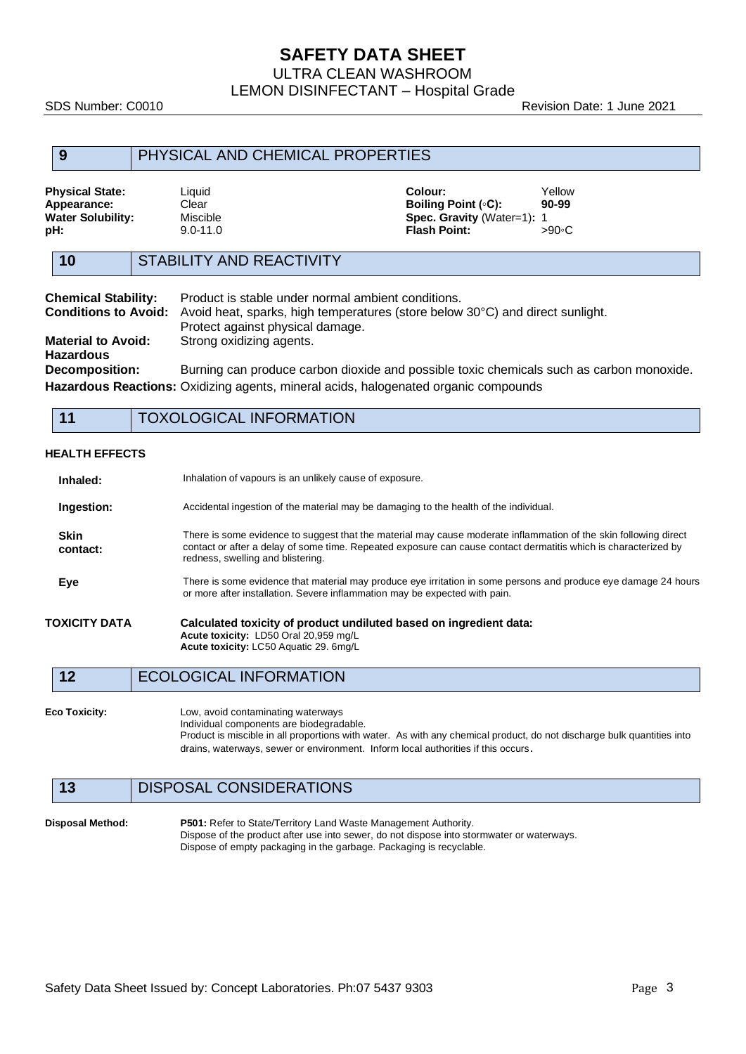## **SAFETY DATA SHEET**

ULTRA CLEAN WASHROOM

LEMON DISINFECTANT – Hospital Grade

SDS Number: C0010 **Revision Date: 1 June 2021** 

| 9                                                                                                                                                                                                    |  | PHYSICAL AND CHEMICAL PROPERTIES                                                                                                                                                                                                                                         |  |                                                                                            |                                                                                          |
|------------------------------------------------------------------------------------------------------------------------------------------------------------------------------------------------------|--|--------------------------------------------------------------------------------------------------------------------------------------------------------------------------------------------------------------------------------------------------------------------------|--|--------------------------------------------------------------------------------------------|------------------------------------------------------------------------------------------|
| <b>Physical State:</b><br>Appearance:<br><b>Water Solubility:</b><br>pH:                                                                                                                             |  | Liquid<br>Clear<br><b>Miscible</b><br>$9.0 - 11.0$                                                                                                                                                                                                                       |  | Colour:<br><b>Boiling Point (°C):</b><br>Spec. Gravity (Water=1): 1<br><b>Flash Point:</b> | Yellow<br>90-99<br>>90∘C                                                                 |
| 10                                                                                                                                                                                                   |  | <b>STABILITY AND REACTIVITY</b>                                                                                                                                                                                                                                          |  |                                                                                            |                                                                                          |
| <b>Chemical Stability:</b><br><b>Conditions to Avoid:</b><br><b>Material to Avoid:</b><br><b>Hazardous</b>                                                                                           |  | Product is stable under normal ambient conditions.<br>Protect against physical damage.<br>Strong oxidizing agents.                                                                                                                                                       |  | Avoid heat, sparks, high temperatures (store below 30°C) and direct sunlight.              |                                                                                          |
| <b>Decomposition:</b>                                                                                                                                                                                |  |                                                                                                                                                                                                                                                                          |  |                                                                                            | Burning can produce carbon dioxide and possible toxic chemicals such as carbon monoxide. |
|                                                                                                                                                                                                      |  |                                                                                                                                                                                                                                                                          |  | Hazardous Reactions: Oxidizing agents, mineral acids, halogenated organic compounds        |                                                                                          |
| 11                                                                                                                                                                                                   |  | <b>TOXOLOGICAL INFORMATION</b>                                                                                                                                                                                                                                           |  |                                                                                            |                                                                                          |
| <b>HEALTH EFFECTS</b><br>Inhaled:                                                                                                                                                                    |  | Inhalation of vapours is an unlikely cause of exposure.                                                                                                                                                                                                                  |  |                                                                                            |                                                                                          |
| Ingestion:                                                                                                                                                                                           |  | Accidental ingestion of the material may be damaging to the health of the individual.                                                                                                                                                                                    |  |                                                                                            |                                                                                          |
| Skin<br>contact:                                                                                                                                                                                     |  | There is some evidence to suggest that the material may cause moderate inflammation of the skin following direct<br>contact or after a delay of some time. Repeated exposure can cause contact dermatitis which is characterized by<br>redness, swelling and blistering. |  |                                                                                            |                                                                                          |
| There is some evidence that material may produce eye irritation in some persons and produce eye damage 24 hours<br>Eye<br>or more after installation. Severe inflammation may be expected with pain. |  |                                                                                                                                                                                                                                                                          |  |                                                                                            |                                                                                          |
| TOXICITY DATA                                                                                                                                                                                        |  | Acute toxicity: LD50 Oral 20,959 mg/L<br>Acute toxicity: LC50 Aquatic 29. 6mg/L                                                                                                                                                                                          |  | Calculated toxicity of product undiluted based on ingredient data:                         |                                                                                          |
| 12                                                                                                                                                                                                   |  | <b>ECOLOGICAL INFORMATION</b>                                                                                                                                                                                                                                            |  |                                                                                            |                                                                                          |
| Eco Toxicity:                                                                                                                                                                                        |  | Low, avoid contaminating waterways                                                                                                                                                                                                                                       |  |                                                                                            |                                                                                          |

Individual components are biodegradable. Product is miscible in all proportions with water. As with any chemical product, do not discharge bulk quantities into drains, waterways, sewer or environment. Inform local authorities if this occurs.

### **13** DISPOSAL CONSIDERATIONS

**Disposal Method: P501:** Refer to State/Territory Land Waste Management Authority. Dispose of the product after use into sewer, do not dispose into stormwater or waterways. Dispose of empty packaging in the garbage. Packaging is recyclable.